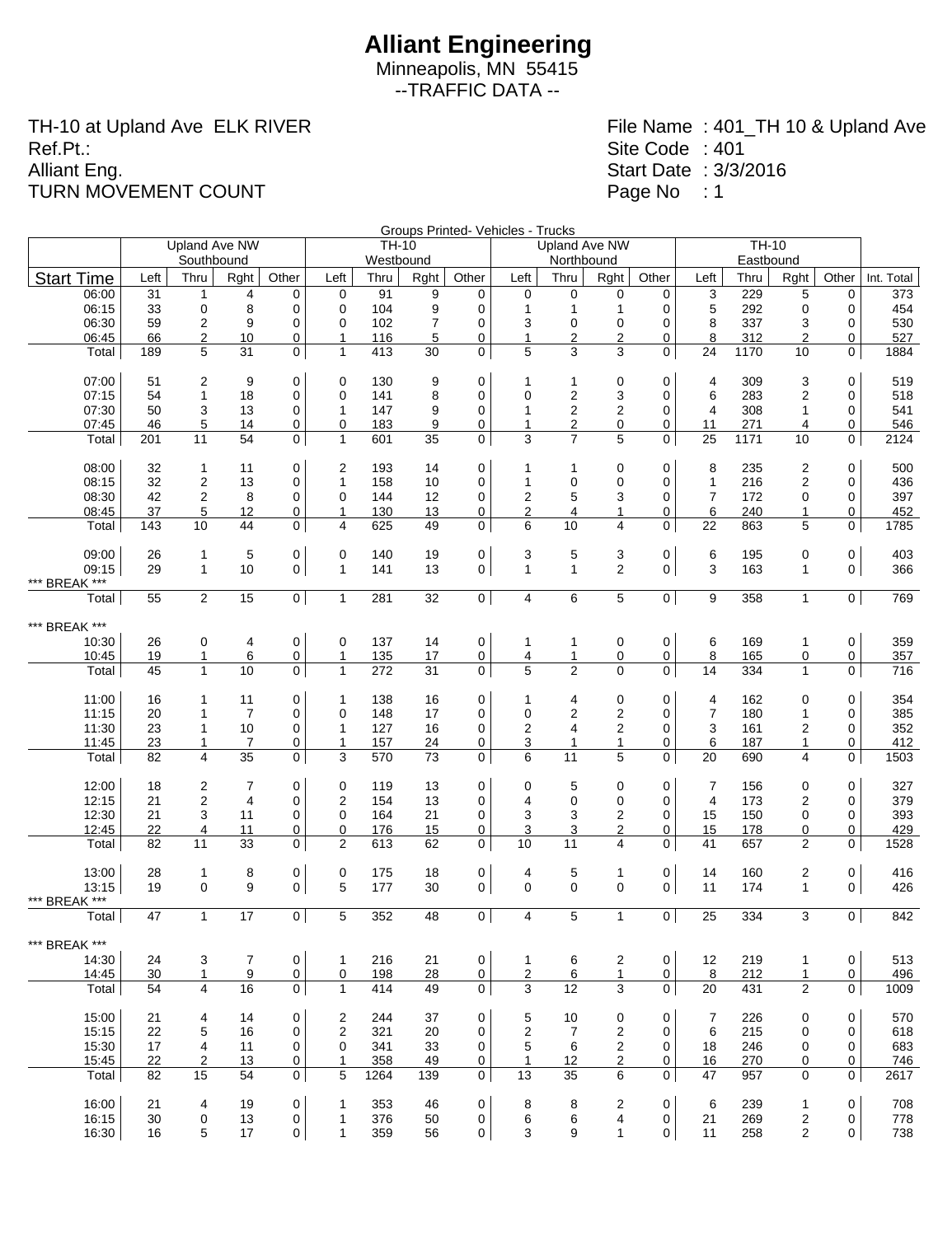Minneapolis, MN 55415 --TRAFFIC DATA --

TH-10 at Upland Ave ELK RIVER Ref.Pt.: Alliant Eng. TURN MOVEMENT COUNT

|                        |          |                |                |                | Groups Printed- Vehicles - Trucks<br><b>TH-10</b><br><b>Upland Ave NW</b><br><b>TH-10</b><br><b>Upland Ave NW</b> |      |      |                     |                   |                         |                         |                |                |           |                |                |                  |  |
|------------------------|----------|----------------|----------------|----------------|-------------------------------------------------------------------------------------------------------------------|------|------|---------------------|-------------------|-------------------------|-------------------------|----------------|----------------|-----------|----------------|----------------|------------------|--|
|                        |          |                |                |                |                                                                                                                   |      |      |                     |                   |                         |                         |                |                |           |                |                |                  |  |
|                        |          | Southbound     |                |                | Westbound<br>Northbound                                                                                           |      |      |                     |                   |                         |                         |                |                | Eastbound |                |                |                  |  |
| <b>Start Time</b>      | Left     | Thru           | Rght           | Other          | Left                                                                                                              | Thru | Rght | Other               | Left              | Thru                    | Rght                    | Other          | Left           | Thru      | Rght           | Other          | Int. Total       |  |
| 06:00                  | 31       | $\mathbf{1}$   | 4              | $\mathbf 0$    | 0                                                                                                                 | 91   | 9    | 0                   | $\mathbf 0$       | 0                       | 0                       | 0              | 3              | 229       | 5              | 0              | 373              |  |
| 06:15                  | 33       | 0              | 8              | 0              | 0                                                                                                                 | 104  | 9    | 0                   | 1                 | 1                       | 1                       | 0              | 5              | 292       | 0              | 0              | 454              |  |
| 06:30                  | 59       | $\overline{2}$ | 9              | 0              | 0                                                                                                                 | 102  | 7    | $\mathbf 0$         | 3                 | 0                       | 0                       | 0              | 8              | 337       | 3              | 0              | 530              |  |
| 06:45                  | 66       | $\overline{2}$ | 10             | 0              | 1                                                                                                                 | 116  | 5    | 0                   | 1                 | 2                       | $\overline{2}$          | 0              | 8              | 312       | $\overline{2}$ | 0              | 527              |  |
| Total                  | 189      | 5              | 31             | $\mathbf 0$    | $\mathbf{1}$                                                                                                      | 413  | 30   | $\mathbf 0$         | 5                 | 3                       | 3                       | $\mathbf 0$    | 24             | 1170      | 10             | 0              | 1884             |  |
|                        |          |                |                |                |                                                                                                                   |      |      |                     |                   |                         |                         |                |                |           |                |                |                  |  |
| 07:00                  | 51       | 2              | 9              | $\mathbf 0$    | 0                                                                                                                 | 130  | 9    | 0                   | 1                 | 1                       | 0                       | 0              | 4              | 309       | 3              | 0              | 519              |  |
| 07:15                  | 54       | $\mathbf{1}$   | 18             | 0              | 0                                                                                                                 | 141  | 8    | $\mathbf 0$         | 0                 | $\overline{\mathbf{c}}$ | 3                       | 0              | 6              | 283       | $\overline{2}$ | 0              | 518              |  |
| 07:30                  | 50       | 3              | 13             | 0              | $\mathbf{1}$                                                                                                      | 147  | 9    | $\mathbf 0$         | $\mathbf{1}$      | $\overline{c}$          | $\overline{c}$          | 0              | $\overline{4}$ | 308       | 1              | 0              | 541              |  |
| 07:45                  | 46       | 5              | 14             | 0              | 0                                                                                                                 | 183  | 9    | 0                   | $\mathbf{1}$      | 2                       | 0                       | 0              | 11             | 271       | 4              | 0              | 546              |  |
| Total                  | 201      | 11             | 54             | $\mathbf 0$    | $\mathbf{1}$                                                                                                      | 601  | 35   | 0                   | 3                 | $\overline{7}$          | 5                       | $\mathbf 0$    | 25             | 1171      | 10             | 0              | 2124             |  |
|                        |          |                |                |                |                                                                                                                   |      |      |                     |                   |                         |                         |                |                |           |                |                |                  |  |
| 08:00                  | 32       | $\mathbf{1}$   | 11             | 0              | $\overline{2}$                                                                                                    | 193  | 14   | 0                   | 1                 | 1                       | 0                       | 0              | 8              | 235       | $\overline{c}$ | 0              | 500              |  |
| 08:15                  | 32       | $\overline{2}$ | 13             | 0              | $\mathbf{1}$                                                                                                      | 158  | 10   | $\mathbf 0$         | $\mathbf{1}$      | 0                       | $\mathbf 0$             | 0              | 1              | 216       | $\overline{2}$ | 0              | 436              |  |
| 08:30                  | 42       | 2              | 8              | 0              | 0                                                                                                                 | 144  | 12   | 0                   | 2                 | 5                       | 3                       | 0              | $\overline{7}$ | 172       | 0              | 0              | 397              |  |
| 08:45                  | 37       | 5              | 12             | 0              | $\mathbf{1}$                                                                                                      | 130  | 13   | 0                   | $\overline{2}$    | 4                       | $\mathbf{1}$            | 0              | 6              | 240       | 1              | 0              | 452              |  |
| Total                  | 143      | 10             | 44             | $\mathbf 0$    | $\overline{4}$                                                                                                    | 625  | 49   | $\mathbf 0$         | 6                 | 10                      | $\overline{4}$          | 0              | 22             | 863       | 5              | 0              | 1785             |  |
|                        |          |                |                |                |                                                                                                                   |      |      |                     |                   |                         |                         |                |                |           |                |                |                  |  |
| 09:00                  | 26<br>29 | $\mathbf{1}$   | 5              | 0              | 0<br>$\mathbf{1}$                                                                                                 | 140  | 19   | $\mathbf 0$         | 3<br>$\mathbf{1}$ | 5                       | 3                       | $\pmb{0}$      | 6<br>3         | 195       | $\pmb{0}$      | 0              | 403              |  |
| 09:15<br>*** BREAK *** |          | $\mathbf{1}$   | 10             | $\mathbf 0$    |                                                                                                                   | 141  | 13   | 0                   |                   | 1                       | $\overline{2}$          | 0              |                | 163       | $\mathbf{1}$   | 0              | 366              |  |
| Total                  | 55       | $\mathbf{2}$   | 15             | $\mathbf 0$    | $\mathbf{1}$                                                                                                      | 281  | 32   | $\mathbf 0$         | 4                 | 6                       | 5                       | 0              | 9              | 358       | $\mathbf{1}$   | $\overline{0}$ | 769              |  |
|                        |          |                |                |                |                                                                                                                   |      |      |                     |                   |                         |                         |                |                |           |                |                |                  |  |
| *** BREAK ***          |          |                |                |                |                                                                                                                   |      |      |                     |                   |                         |                         |                |                |           |                |                |                  |  |
| 10:30                  | 26       | 0              | 4              | 0              | 0                                                                                                                 | 137  | 14   | 0                   | 1                 | 1                       | 0                       | 0              | 6              | 169       | $\mathbf{1}$   | 0              | 359              |  |
| 10:45                  | 19       | $\mathbf{1}$   | 6              | $\overline{0}$ | 1                                                                                                                 | 135  | 17   | 0                   | $\overline{4}$    | 1                       | $\mathbf 0$             | $\overline{0}$ | $\bf{8}$       | 165       | $\pmb{0}$      | 0              | 357              |  |
| Total                  | 45       | $\mathbf{1}$   | 10             | $\mathbf 0$    | $\mathbf{1}$                                                                                                      | 272  | 31   | 0                   | $\overline{5}$    | $\overline{2}$          | $\mathbf 0$             | 0              | 14             | 334       | $\mathbf{1}$   | 0              | $\overline{716}$ |  |
|                        |          |                |                |                |                                                                                                                   |      |      |                     |                   |                         |                         |                |                |           |                |                |                  |  |
| 11:00                  | 16       | $\mathbf{1}$   | 11             | 0              | 1                                                                                                                 | 138  | 16   | 0                   | 1                 | 4                       | 0                       | 0              | 4              | 162       | $\mathbf 0$    | 0              | 354              |  |
| 11:15                  | 20       | $\mathbf{1}$   | $\overline{7}$ | 0              | 0                                                                                                                 | 148  | 17   | 0                   | 0                 | $\overline{\mathbf{c}}$ | $\boldsymbol{2}$        | 0              | $\overline{7}$ | 180       | 1              | 0              | 385              |  |
| 11:30                  | 23       | $\mathbf{1}$   | 10             | $\pmb{0}$      | $\mathbf{1}$                                                                                                      | 127  | 16   | 0                   | $\overline{2}$    | 4                       | $\overline{2}$          | 0              | 3              | 161       | 2              | 0              | 352              |  |
| 11:45                  | 23       | 1              | $\overline{7}$ | 0              | 1                                                                                                                 | 157  | 24   | 0                   | 3                 | 1                       | $\mathbf{1}$            | 0              | 6              | 187       | 1              | 0              | 412              |  |
| Total                  | 82       | 4              | 35             | $\mathbf 0$    | 3                                                                                                                 | 570  | 73   | $\mathbf 0$         | 6                 | 11                      | 5                       | $\mathbf 0$    | 20             | 690       | 4              | 0              | 1503             |  |
|                        |          |                |                |                |                                                                                                                   |      |      |                     |                   |                         |                         |                |                |           |                |                |                  |  |
| 12:00                  | 18       | 2              | $\overline{7}$ | 0              | 0                                                                                                                 | 119  | 13   | 0                   | 0                 | 5                       | 0                       | 0              | 7              | 156       | $\mathbf 0$    | 0              | 327              |  |
| 12:15                  | 21       | $\overline{2}$ | $\overline{4}$ | 0              | $\overline{2}$                                                                                                    | 154  | 13   | $\mathbf 0$         | 4                 | 0                       | 0                       | 0              | $\overline{4}$ | 173       | 2              | 0              | 379              |  |
| 12:30                  | 21       | 3              | 11             | 0              | 0                                                                                                                 | 164  | 21   | 0                   | 3                 | 3                       | $\overline{\mathbf{c}}$ | 0              | 15             | 150       | 0              | $\mathbf 0$    | 393              |  |
| 12:45                  | 22       | 4              | 11             | 0              | 0                                                                                                                 | 176  | 15   | 0                   | 3                 | 3                       | $\overline{\mathbf{c}}$ | 0              | 15             | 178       | 0              | 0              | 429              |  |
| Total                  | 82       | 11             | 33             | $\mathbf 0$    | $\overline{2}$                                                                                                    | 613  | 62   | $\mathbf 0$         | 10                | 11                      | $\overline{4}$          | 0              | 41             | 657       | $\overline{2}$ | 0              | 1528             |  |
| 13:00                  | 28       | 1              | 8              | 0              | 0                                                                                                                 | 175  | 18   | 0                   | 4                 | 5                       | 1                       | $\mathbf 0$    | 14             | 160       | $\overline{2}$ | 0              | 416              |  |
| 13:15                  | 19       | 0              | 9              | $\mathbf 0$    | 5                                                                                                                 | 177  | 30   | $\mathbf 0$         | $\mathbf 0$       | $\overline{0}$          | $\mathbf 0$             | 0              | 11             | 174       | $\mathbf{1}$   | 0              | 426              |  |
| *** BREAK ***          |          |                |                |                |                                                                                                                   |      |      |                     |                   |                         |                         |                |                |           |                |                |                  |  |
| Total                  | 47       | $\mathbf{1}$   | 17             | $\mathbf 0$    | 5                                                                                                                 | 352  | 48   | 0                   | $\overline{4}$    | 5                       | $\mathbf{1}$            | $\overline{0}$ | 25             | 334       | 3              | 0              | 842              |  |
|                        |          |                |                |                |                                                                                                                   |      |      |                     |                   |                         |                         |                |                |           |                |                |                  |  |
| *** BREAK ***          |          |                |                |                |                                                                                                                   |      |      |                     |                   |                         |                         |                |                |           |                |                |                  |  |
| 14:30                  | 24       | 3              | $\overline{7}$ | 0              | $\mathbf{1}$                                                                                                      | 216  | 21   | $\mathbf 0$         | 1                 | 6                       | 2                       | $\mathbf 0$    | 12             | 219       | 1              | 0              | 513              |  |
| 14:45                  | 30       | $\mathbf{1}$   | 9              | 0              | $\overline{0}$                                                                                                    | 198  | 28   | $\mathsf{O}\xspace$ | $\overline{2}$    | 6                       | $\mathbf{1}$            | $\overline{0}$ | 8              | 212       | $\mathbf{1}$   | 0              | 496              |  |
| Total                  | 54       | $\overline{4}$ | 16             | $\mathbf 0$    | $\mathbf{1}$                                                                                                      | 414  | 49   | $\mathsf{O}$        | 3                 | 12                      | 3                       | $\mathbf 0$    | 20             | 431       | $\overline{2}$ | 0              | 1009             |  |
|                        |          |                |                |                |                                                                                                                   |      |      |                     |                   |                         |                         |                |                |           |                |                |                  |  |
| 15:00                  | 21       | 4              | 14             | 0              | 2                                                                                                                 | 244  | 37   | $\mathbf 0$         | 5                 | 10                      | 0                       | 0              | 7              | 226       | 0              | 0              | 570              |  |
| 15:15                  | 22       | 5              | 16             | 0              | $\overline{c}$                                                                                                    | 321  | 20   | $\mathbf 0$         | $\boldsymbol{2}$  | $\overline{7}$          | $\overline{c}$          | 0              | 6              | 215       | 0              | 0              | 618              |  |
| 15:30                  | 17       | 4              | 11             | 0              | $\mathbf 0$                                                                                                       | 341  | 33   | $\mathbf 0$         | 5                 | 6                       | $\overline{c}$          | 0              | 18             | 246       | 0              | 0              | 683              |  |
| 15:45                  | 22       | 2              | 13             | 0              | $\mathbf{1}$                                                                                                      | 358  | 49   | 0                   | $\mathbf{1}$      | 12                      | $\mathbf{2}$            | 0              | 16             | 270       | 0              | 0              | <u>746</u>       |  |
| Total                  | 82       | 15             | 54             | $\mathbf 0$    | 5                                                                                                                 | 1264 | 139  | $\mathbf 0$         | 13                | 35                      | 6                       | $\mathbf 0$    | 47             | 957       | $\Omega$       | 0              | 2617             |  |
| 16:00                  | 21       | 4              | 19             | 0              | $\mathbf{1}$                                                                                                      | 353  | 46   | $\mathbf 0$         | 8                 | 8                       | $\overline{c}$          | $\mathbf 0$    | 6              | 239       | $\mathbf{1}$   | 0              | 708              |  |
| 16:15                  | 30       | 0              | 13             | 0              | $\mathbf{1}$                                                                                                      | 376  | 50   | 0                   | 6                 | 6                       | 4                       | 0              | 21             | 269       | $\overline{c}$ | 0              | 778              |  |
| 16:30                  | 16       | 5              | 17             | 0              | $\mathbf{1}$                                                                                                      | 359  | 56   | 0                   | 3                 | 9                       | $\mathbf{1}$            | 0              | 11             | 258       | 2              | 0              | 738              |  |
|                        |          |                |                |                |                                                                                                                   |      |      |                     |                   |                         |                         |                |                |           |                |                |                  |  |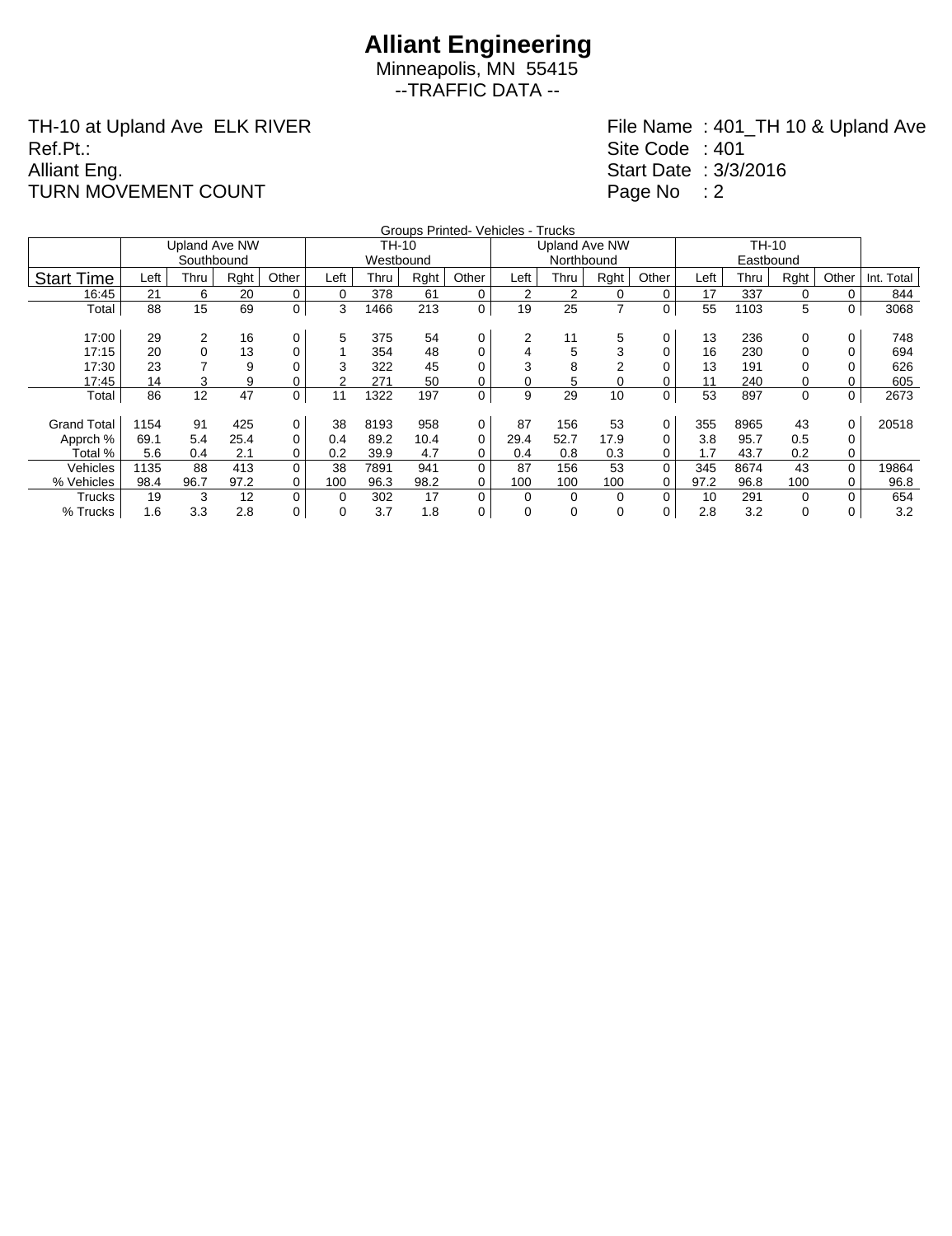## **Alliant Engineering**

Minneapolis, MN 55415 --TRAFFIC DATA --

TH-10 at Upland Ave ELK RIVER Ref.Pt.: Alliant Eng. TURN MOVEMENT COUNT

|                    |      |                      |      |       |      |           |      | Groups Printed- Vehicles - Trucks |          |                      |                |          |      |      |      |          |            |
|--------------------|------|----------------------|------|-------|------|-----------|------|-----------------------------------|----------|----------------------|----------------|----------|------|------|------|----------|------------|
|                    |      | <b>Upland Ave NW</b> |      |       |      | TH-10     |      |                                   |          | <b>Upland Ave NW</b> |                |          |      |      |      |          |            |
|                    |      | Southbound           |      |       |      | Westbound |      |                                   |          | Northbound           |                |          |      |      |      |          |            |
| <b>Start Time</b>  | Left | Thru                 | Rght | Other | Left | Thru      | Rght | Other                             | Left     | Thru                 | Rght           | Other    | Left | Thru | Rght | Other    | Int. Total |
| 16:45              | 21   | 6                    | 20   | 0     | 0    | 378       | 61   | 0                                 | 2        |                      | 0              | 0        | 17   | 337  | 0    | 0        | 844        |
| Total              | 88   | 15                   | 69   | 0     | 3    | 1466      | 213  | 0                                 | 19       | 25                   | $\overline{7}$ | 0        | 55   | 1103 | 5    | 0        | 3068       |
|                    |      |                      |      |       |      |           |      |                                   |          |                      |                |          |      |      |      |          |            |
| 17:00              | 29   | $\overline{2}$       | 16   | 0     | 5    | 375       | 54   | 0                                 | 2        | 11                   | 5              | 0        | 13   | 236  | 0    | 0        | 748        |
| 17:15              | 20   | 0                    | 13   | 0     |      | 354       | 48   | 0                                 | 4        | 5                    | 3              |          | 16   | 230  | 0    |          | 694        |
| 17:30              | 23   |                      | 9    | 0     | 3    | 322       | 45   | 0                                 | 3        | 8                    | 2              |          | 13   | 191  |      |          | 626        |
| 17:45              | 14   | 3                    | 9    | 0     | 2    | 271       | 50   | 0                                 | 0        | 5.                   | 0              |          |      | 240  | 0    |          | 605        |
| Total              | 86   | 12                   | 47   | 0     | 11   | 1322      | 197  | 0                                 | 9        | 29                   | 10             | 0        | 53   | 897  | 0    | 0        | 2673       |
|                    |      |                      |      |       |      |           |      |                                   |          |                      |                |          |      |      |      |          |            |
| <b>Grand Total</b> | 1154 | 91                   | 425  | 0     | 38   | 8193      | 958  | 0                                 | 87       | 156                  | 53             | 0        | 355  | 8965 | 43   | 0        | 20518      |
| Apprch %           | 69.1 | 5.4                  | 25.4 | 0     | 0.4  | 89.2      | 10.4 | 0                                 | 29.4     | 52.7                 | 17.9           | 0        | 3.8  | 95.7 | 0.5  | 0        |            |
| Total %            | 5.6  | 0.4                  | 2.1  | 0     | 0.2  | 39.9      | 4.7  | 0                                 | 0.4      | 0.8                  | 0.3            | 0        | 1.7  | 43.7 | 0.2  | 0        |            |
| Vehicles           | 1135 | 88                   | 413  | 0     | 38   | 7891      | 941  | 0                                 | 87       | 156                  | 53             | $\Omega$ | 345  | 8674 | 43   | $\Omega$ | 19864      |
| % Vehicles         | 98.4 | 96.7                 | 97.2 | 0     | 100  | 96.3      | 98.2 | 0                                 | 100      | 100                  | 100            |          | 97.2 | 96.8 | 100  | 0        | 96.8       |
| Trucks             | 19   | 3                    | 12   | 0     | 0    | 302       | 17   | 0                                 | $\Omega$ | $\Omega$             | 0              | $\Omega$ | 10   | 291  | 0    | 0        | 654        |
| % Trucks           | 1.6  | 3.3                  | 2.8  | 0     | 0    | 3.7       | 1.8  | 0                                 | 0        | $\Omega$             | 0              | 0        | 2.8  | 3.2  | 0    | 0        | 3.2        |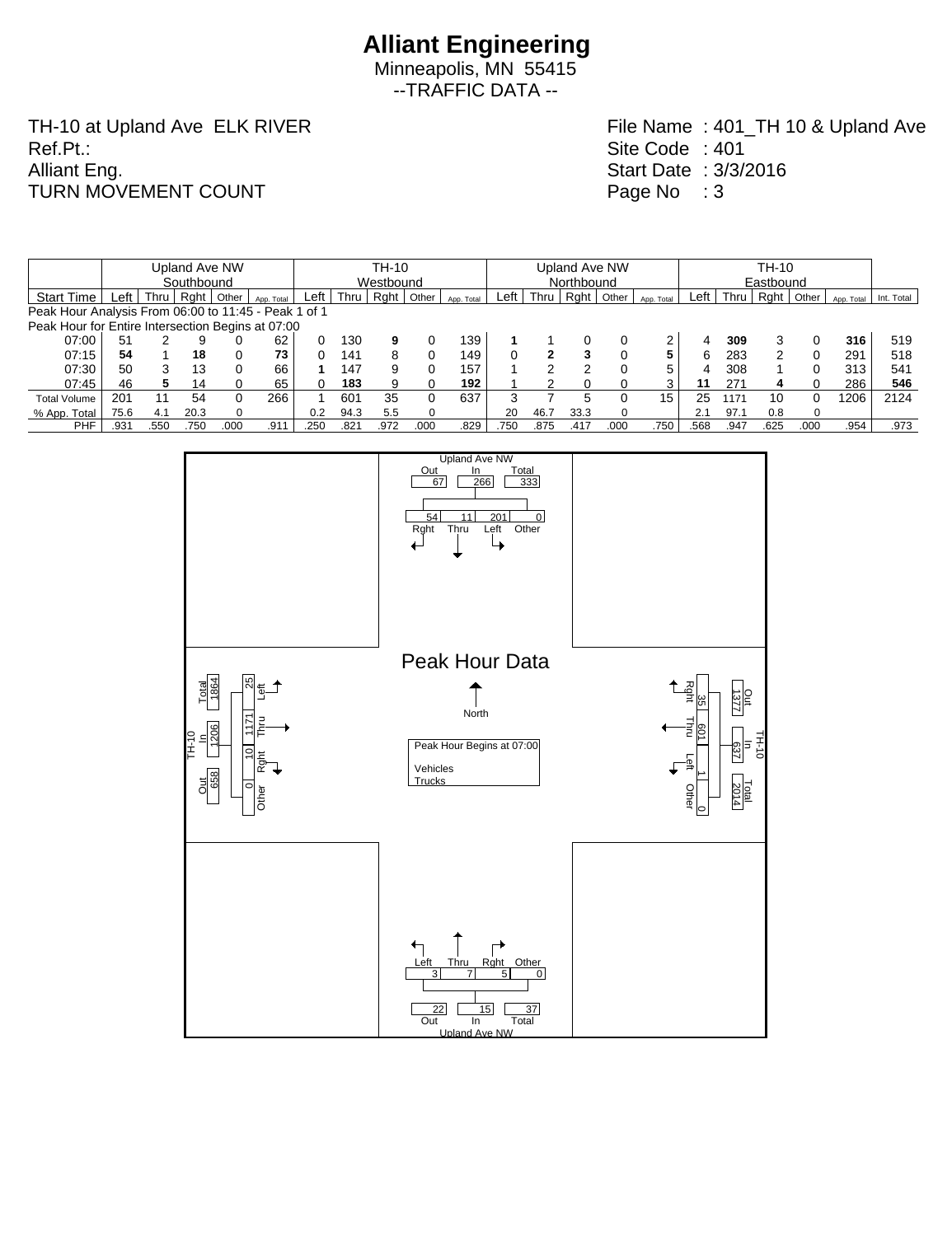--TRAFFIC DATA --

TH-10 at Upland Ave ELK RIVER Ref.Pt.: Alliant Eng. TURN MOVEMENT COUNT

|                                                      |            |      |               |       |            |       |           |      |       |            |               |            | TH-10   |          |            |             |      |           |          |            |            |  |  |
|------------------------------------------------------|------------|------|---------------|-------|------------|-------|-----------|------|-------|------------|---------------|------------|---------|----------|------------|-------------|------|-----------|----------|------------|------------|--|--|
|                                                      |            |      | Upland Ave NW |       |            | TH-10 |           |      |       |            | Upland Ave NW |            |         |          |            |             |      |           |          |            |            |  |  |
|                                                      | Southbound |      |               |       |            |       | Westbound |      |       |            |               | Northbound |         |          |            |             |      | Eastbound |          |            |            |  |  |
| <b>Start Time</b>                                    | _eft       | Thru | Raht          | Other | App. Total | Left  | Thru      | Rght | Other | App. Total | ∟eft          | Thru       | $RQ$ nt | Other    | App. Total | $Left \mid$ | Thru | Rght      | Other    | App. Total | Int. Total |  |  |
| Peak Hour Analysis From 06:00 to 11:45 - Peak 1 of 1 |            |      |               |       |            |       |           |      |       |            |               |            |         |          |            |             |      |           |          |            |            |  |  |
| Peak Hour for Entire Intersection Begins at 07:00    |            |      |               |       |            |       |           |      |       |            |               |            |         |          |            |             |      |           |          |            |            |  |  |
| 07:00                                                | 51         |      |               |       | 62         |       | 130       | 9    |       | 139        |               |            |         |          | 2          | 4           | 309  |           |          | 316        | 519        |  |  |
| 07:15                                                | 54         |      | 18            |       | 73         |       | 141       | 8    | 0     | 149        |               | 2          | 3       | 0        | 5          | ิ ค         | 283  | ົ         | 0        | 291        | 518        |  |  |
| 07:30                                                | 50         | 3    | 13            |       | 66         |       | 147       | 9    | 0     | 157        |               | ◠          |         |          | 5          | 4           | 308  |           | 0        | 313        | 541        |  |  |
| 07:45                                                | 46         | 5.   | 14            |       | 65         |       | 183       | 9    |       | 192        |               | ◠          |         |          | 3          | 11          | 271  |           | 0        | 286        | 546        |  |  |
| <b>Total Volume</b>                                  | 201        | 11   | 54            |       | 266        |       | 601       | 35   | 0     | 637        |               |            | 5       |          | 15         | 25          | 1171 | 10        | 0        | 1206       | 2124       |  |  |
| % App. Total                                         | 75.6       | 4.1  | 20.3          |       |            | 0.2   | 94.3      | 5.5  | 0     |            | 20            | 46.7       | 33.3    | $\Omega$ |            | 2.1         | 97.1 | 0.8       | $\Omega$ |            |            |  |  |
| <b>PHF</b>                                           | .931       | .550 | 750           | 00C   | .911       | .250  | .821      | .972 | .000  | .829       | .750          | 875        | .417    | .000     | 750        | .568        | .947 | .625      | .000     | .954       | .973       |  |  |